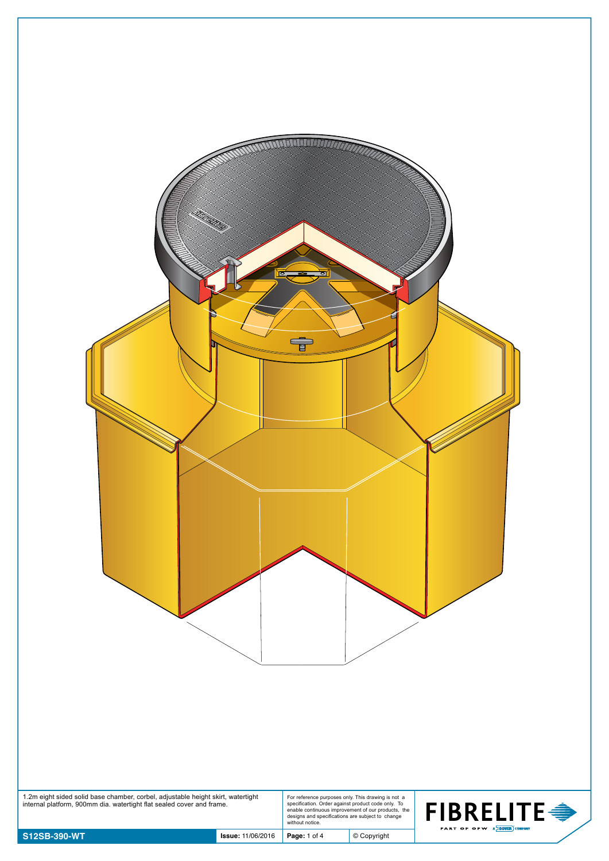| 1.2m eight sided solid base chamber, corbel, adjustable height skirt, watertight internal platform, 900mm dia. watertight flat sealed cover and frame.<br>For reference purposes only. This drawing is not a<br>specification. Order against product code only. To<br>enable continuous improvement of our products, the<br><b>FIBRELITE <del>●</del></b><br>designs and specifications are subject to change<br>without notice.<br>PART OF OPW A DOVER COMPANY<br>S12SB-390-WT |
|---------------------------------------------------------------------------------------------------------------------------------------------------------------------------------------------------------------------------------------------------------------------------------------------------------------------------------------------------------------------------------------------------------------------------------------------------------------------------------|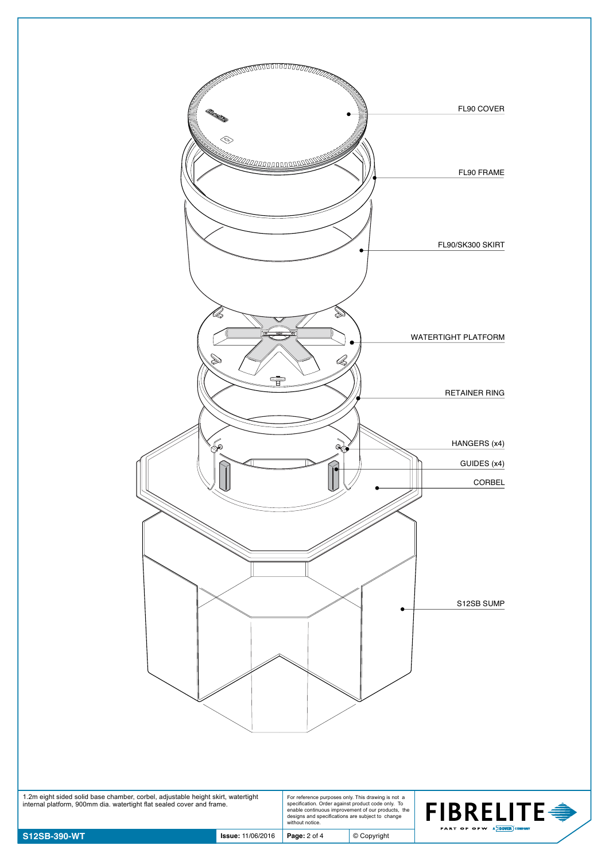

| 1.2m eight sided solid base chamber, corbel, adjustable height skirt, watertight | For reference purposes only. This drawing is not a |  |
|----------------------------------------------------------------------------------|----------------------------------------------------|--|
| internal platform, 900mm dia. watertight flat sealed cover and frame.            | specification. Order against product code only. To |  |
|                                                                                  | enable continuous improvement of our products. the |  |
|                                                                                  | designs and specifications are subject to change   |  |
|                                                                                  | without notice.                                    |  |

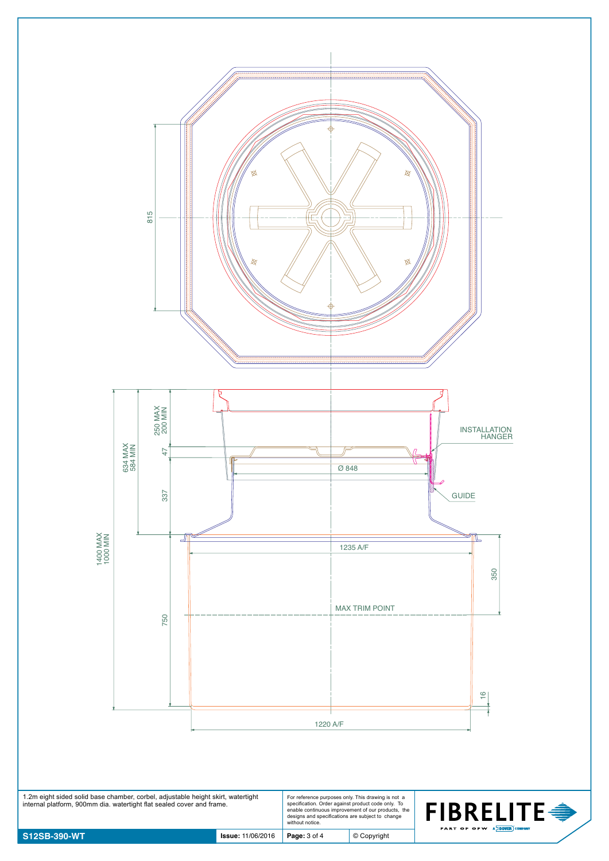